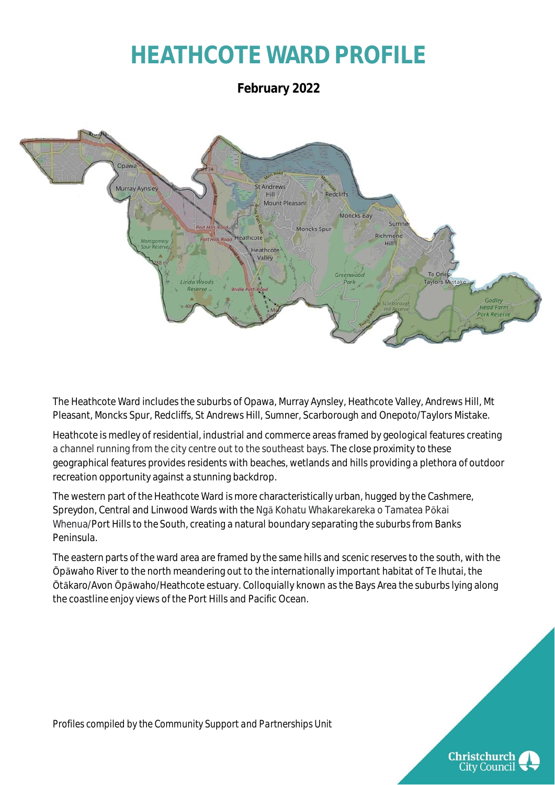## **HEATHCOTE WARD PROFILE**

**February 2022**



The Heathcote Ward includes the suburbs of Opawa, Murray Aynsley, Heathcote Valley, Andrews Hill, Mt Pleasant, Moncks Spur, Redcliffs, St Andrews Hill, Sumner, Scarborough and Onepoto/Taylors Mistake.

Heathcote is medley of residential, industrial and commerce areas framed by geological features creating a channel running from the city centre out to the southeast bays. The close proximity to these geographical features provides residents with beaches, wetlands and hills providing a plethora of outdoor recreation opportunity against a stunning backdrop.

The western part of the Heathcote Ward is more characteristically urban, hugged by the Cashmere, Spreydon, Central and Linwood Wards with the Ngā Kohatu Whakarekareka o Tamatea Pōkai Whenua/Port Hills to the South, creating a natural boundary separating the suburbs from Banks Peninsula.

The eastern parts of the ward area are framed by the same hills and scenic reserves to the south, with the Ōpāwaho River to the north meandering out to the internationally important habitat of Te Ihutai, the Ōtākaro/Avon Ōpāwaho/Heathcote estuary. Colloquially known as the Bays Area the suburbs lying along the coastline enjoy views of the Port Hills and Pacific Ocean.

*Profiles compiled by the Community Support and Partnerships Unit*

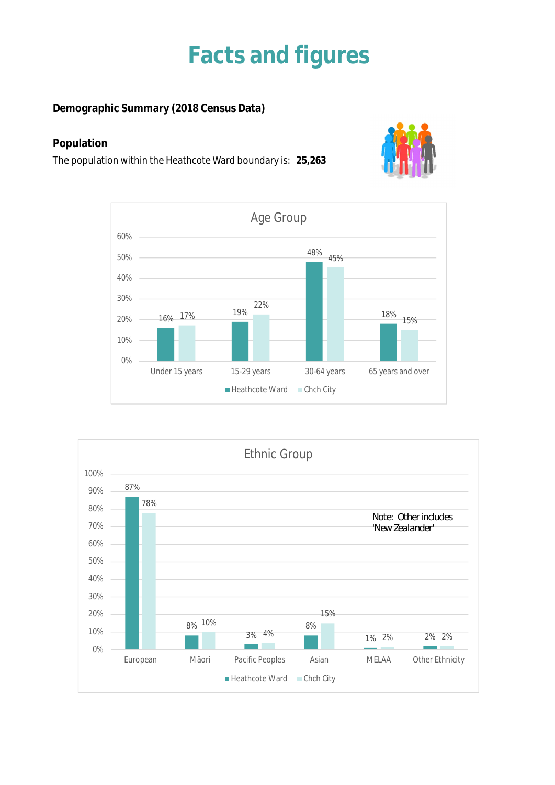### **Facts and figures**

**Demographic Summary (2018 Census Data)**

### **Population**

The population within the Heathcote Ward boundary is: **25,263**





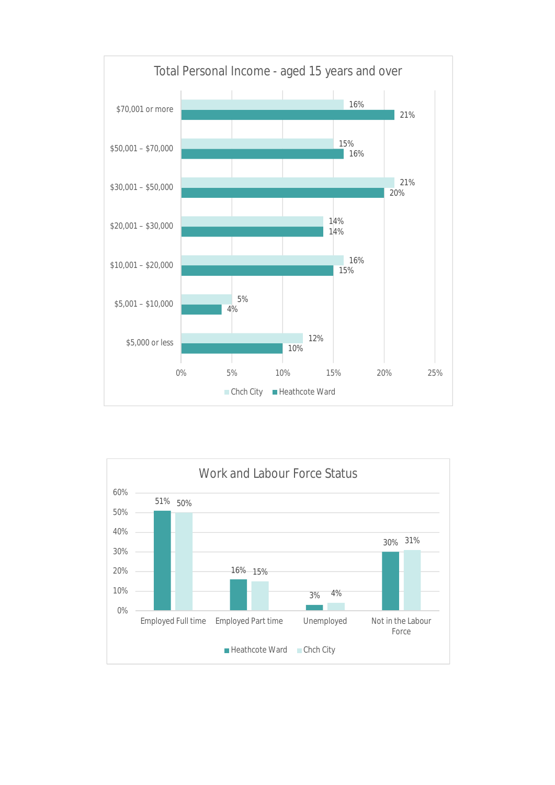

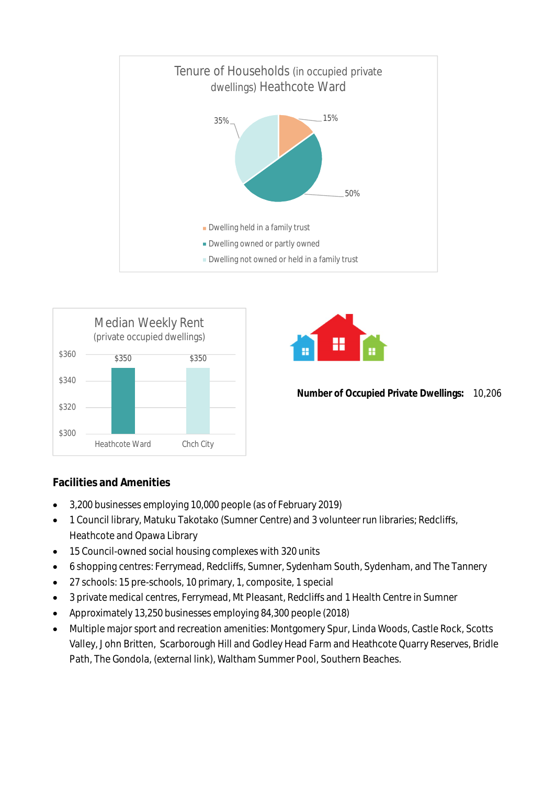



### **Facilities and Amenities**

- 3,200 businesses employing 10,000 people (as of February 2019)
- 1 Council library, Matuku Takotako (Sumner Centre) and 3 volunteer run libraries; Redcliffs, Heathcote and Opawa Library
- 15 Council-owned social housing complexes with 320 units
- 6 shopping centres: Ferrymead, Redcliffs, Sumner, Sydenham South, Sydenham, and The Tannery
- 27 schools: 15 pre-schools, 10 primary, 1, composite, 1 special
- 3 private medical centres, Ferrymead, Mt Pleasant, Redcliffs and 1 Health Centre in Sumner
- Approximately 13,250 businesses employing 84,300 people (2018)
- Multiple major sport and recreation amenities: Montgomery Spur, Linda Woods, Castle Rock, Scotts Valley, John Britten, Scarborough Hill and Godley Head Farm and Heathcote Quarry Reserves, Bridle Path, The Gondola, (external link), Waltham Summer Pool, Southern Beaches.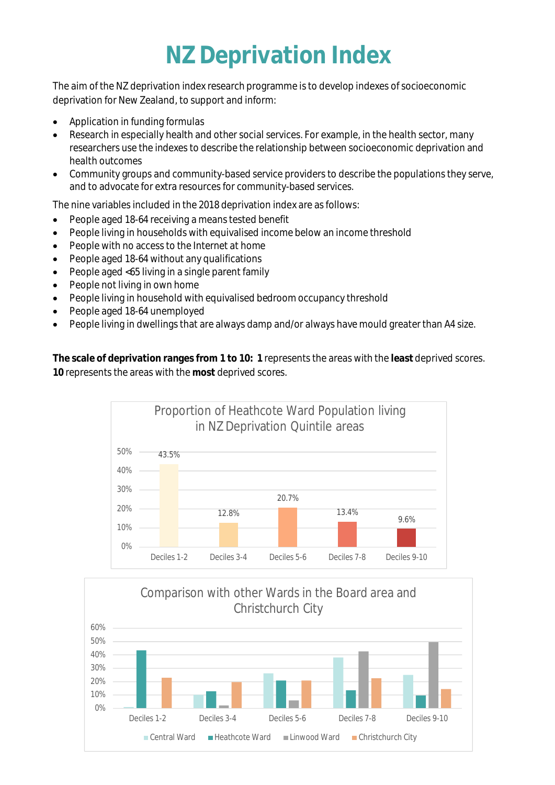## **NZ Deprivation Index**

The aim of the NZ deprivation index research programme is to develop indexes of socioeconomic deprivation for New Zealand, to support and inform:

- Application in funding formulas
- Research in especially health and other social services. For example, in the health sector, many researchers use the indexes to describe the relationship between socioeconomic deprivation and health outcomes
- Community groups and community-based service providers to describe the populations they serve, and to advocate for extra resources for community-based services.

The nine variables included in the 2018 deprivation index are as follows:

- People aged 18-64 receiving a means tested benefit
- People living in households with equivalised income below an income threshold
- People with no access to the Internet at home
- People aged 18-64 without any qualifications
- People aged <65 living in a single parent family
- People not living in own home
- People living in household with equivalised bedroom occupancy threshold
- People aged 18-64 unemployed
- People living in dwellings that are always damp and/or always have mould greater than A4 size.

**The scale of deprivation ranges from 1 to 10: 1** represents the areas with the **least** deprived scores. **10** represents the areas with the **most** deprived scores.



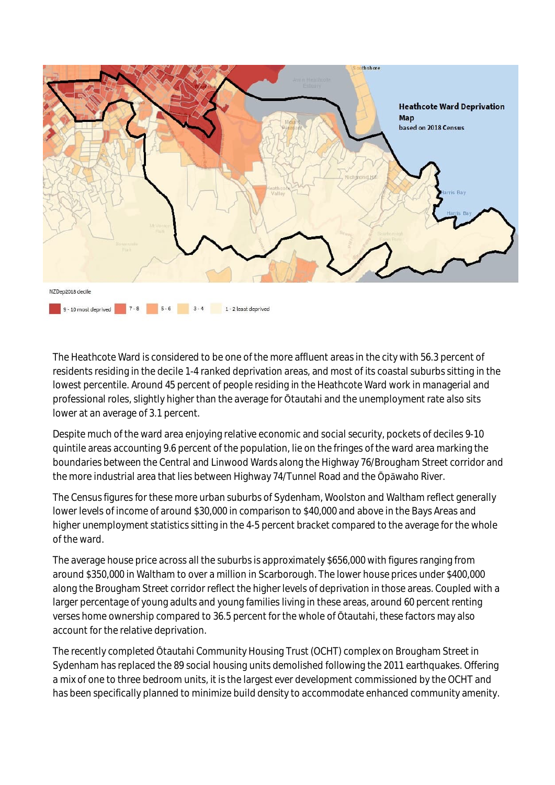

The Heathcote Ward is considered to be one of the more affluent areas in the city with 56.3 percent of residents residing in the decile 1-4 ranked deprivation areas, and most of its coastal suburbs sitting in the lowest percentile. Around 45 percent of people residing in the Heathcote Ward work in managerial and professional roles, slightly higher than the average for Ōtautahi and the unemployment rate also sits lower at an average of 3.1 percent.

Despite much of the ward area enjoying relative economic and social security, pockets of deciles 9-10 quintile areas accounting 9.6 percent of the population, lie on the fringes of the ward area marking the boundaries between the Central and Linwood Wards along the Highway 76/Brougham Street corridor and the more industrial area that lies between Highway 74/Tunnel Road and the Ōpāwaho River.

The Census figures for these more urban suburbs of Sydenham, Woolston and Waltham reflect generally lower levels of income of around \$30,000 in comparison to \$40,000 and above in the Bays Areas and higher unemployment statistics sitting in the 4-5 percent bracket compared to the average for the whole of the ward.

The average house price across all the suburbs is approximately \$656,000 with figures ranging from around \$350,000 in Waltham to over a million in Scarborough. The lower house prices under \$400,000 along the Brougham Street corridor reflect the higher levels of deprivation in those areas. Coupled with a larger percentage of young adults and young families living in these areas, around 60 percent renting verses home ownership compared to 36.5 percent for the whole of Ōtautahi, these factors may also account for the relative deprivation.

The recently completed Ōtautahi Community Housing Trust (OCHT) complex on Brougham Street in Sydenham has replaced the 89 social housing units demolished following the 2011 earthquakes. Offering a mix of one to three bedroom units, it is the largest ever development commissioned by the OCHT and has been specifically planned to minimize build density to accommodate enhanced community amenity.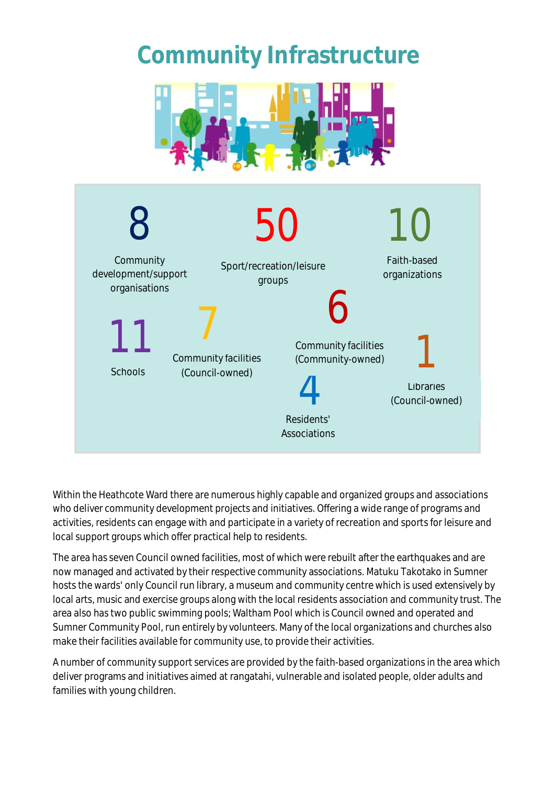## **Community Infrastructure**





Within the Heathcote Ward there are numerous highly capable and organized groups and associations who deliver community development projects and initiatives. Offering a wide range of programs and activities, residents can engage with and participate in a variety of recreation and sports for leisure and local support groups which offer practical help to residents.

The area has seven Council owned facilities, most of which were rebuilt after the earthquakes and are now managed and activated by their respective community associations. Matuku Takotako in Sumner hosts the wards' only Council run library, a museum and community centre which is used extensively by local arts, music and exercise groups along with the local residents association and community trust. The area also has two public swimming pools; Waltham Pool which is Council owned and operated and Sumner Community Pool, run entirely by volunteers. Many of the local organizations and churches also make their facilities available for community use, to provide their activities.

A number of community support services are provided by the faith-based organizations in the area which deliver programs and initiatives aimed at rangatahi, vulnerable and isolated people, older adults and families with young children.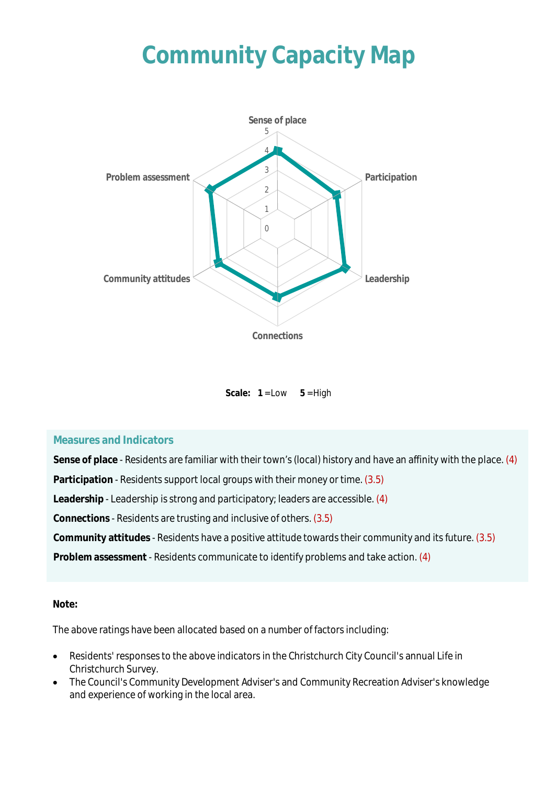# **Community Capacity Map**



Scale:  $1 = Low \t 5 = High$ 

#### **Measures and Indicators**

**Sense of place** - Residents are familiar with their town's (local) history and have an affinity with the place. (4)

**Participation** - Residents support local groups with their money or time. (3.5)

**Leadership** - Leadership is strong and participatory; leaders are accessible. (4)

**Connections** - Residents are trusting and inclusive of others. (3.5)

**Community attitudes** - Residents have a positive attitude towards their community and its future. (3.5)

**Problem assessment** - Residents communicate to identify problems and take action. (4)

**Note:**

The above ratings have been allocated based on a number of factors including:

- Residents' responses to the above indicators in the Christchurch City Council's annual Life in Christchurch Survey.
- The Council's Community Development Adviser's and Community Recreation Adviser's knowledge and experience of working in the local area.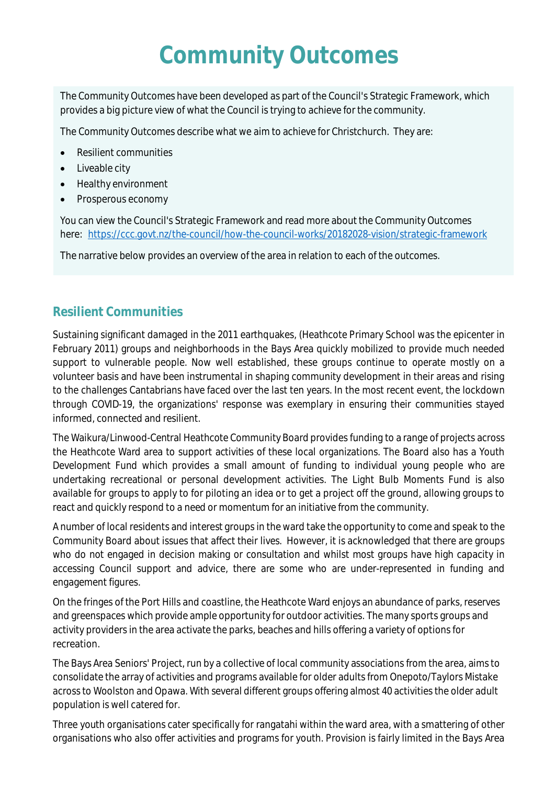## **Community Outcomes**

The Community Outcomes have been developed as part of the Council's Strategic Framework, which provides a big picture view of what the Council is trying to achieve for the community.

The Community Outcomes describe what we aim to achieve for Christchurch. They are:

- Resilient communities
- Liveable city
- Healthy environment
- Prosperous economy

You can view the Council's Strategic Framework and read more about the Community Outcomes here: https://ccc.govt.nz/the-council/how-the-council-works/20182028-vision/strategic-framework

The narrative below provides an overview of the area in relation to each of the outcomes.

### **Resilient Communities**

Sustaining significant damaged in the 2011 earthquakes, (Heathcote Primary School was the epicenter in February 2011) groups and neighborhoods in the Bays Area quickly mobilized to provide much needed support to vulnerable people. Now well established, these groups continue to operate mostly on a volunteer basis and have been instrumental in shaping community development in their areas and rising to the challenges Cantabrians have faced over the last ten years. In the most recent event, the lockdown through COVID-19, the organizations' response was exemplary in ensuring their communities stayed informed, connected and resilient.

The Waikura/Linwood-Central Heathcote Community Board provides funding to a range of projects across the Heathcote Ward area to support activities of these local organizations. The Board also has a Youth Development Fund which provides a small amount of funding to individual young people who are undertaking recreational or personal development activities. The Light Bulb Moments Fund is also available for groups to apply to for piloting an idea or to get a project off the ground, allowing groups to react and quickly respond to a need or momentum for an initiative from the community.

A number of local residents and interest groups in the ward take the opportunity to come and speak to the Community Board about issues that affect their lives. However, it is acknowledged that there are groups who do not engaged in decision making or consultation and whilst most groups have high capacity in accessing Council support and advice, there are some who are under-represented in funding and engagement figures.

On the fringes of the Port Hills and coastline, the Heathcote Ward enjoys an abundance of parks, reserves and greenspaces which provide ample opportunity for outdoor activities. The many sports groups and activity providers in the area activate the parks, beaches and hills offering a variety of options for recreation.

The Bays Area Seniors' Project, run by a collective of local community associations from the area, aims to consolidate the array of activities and programs available for older adults from Onepoto/Taylors Mistake across to Woolston and Opawa. With several different groups offering almost 40 activities the older adult population is well catered for.

Three youth organisations cater specifically for rangatahi within the ward area, with a smattering of other organisations who also offer activities and programs for youth. Provision is fairly limited in the Bays Area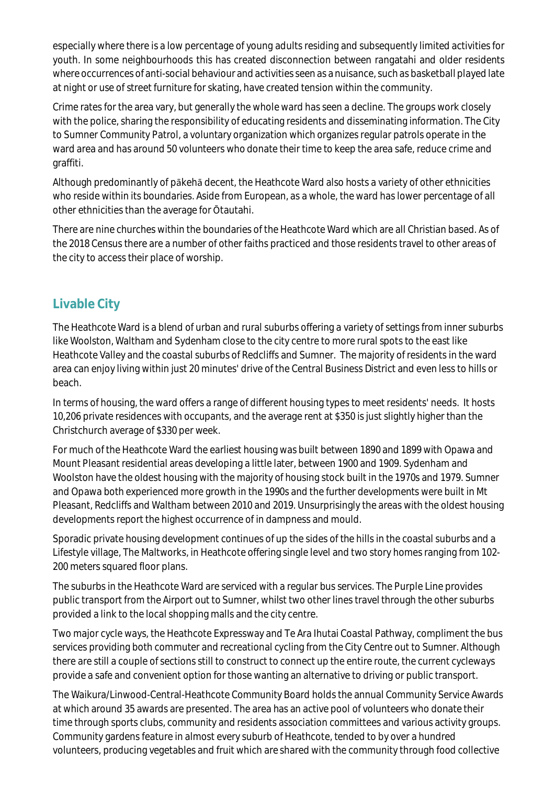especially where there is a low percentage of young adults residing and subsequently limited activities for youth. In some neighbourhoods this has created disconnection between rangatahi and older residents where occurrences of anti-social behaviour and activities seen as a nuisance, such as basketball played late at night or use of street furniture for skating, have created tension within the community.

Crime rates for the area vary, but generally the whole ward has seen a decline. The groups work closely with the police, sharing the responsibility of educating residents and disseminating information. The City to Sumner Community Patrol, a voluntary organization which organizes regular patrols operate in the ward area and has around 50 volunteers who donate their time to keep the area safe, reduce crime and graffiti.

Although predominantly of pākehā decent, the Heathcote Ward also hosts a variety of other ethnicities who reside within its boundaries. Aside from European, as a whole, the ward has lower percentage of all other ethnicities than the average for Ōtautahi.

There are nine churches within the boundaries of the Heathcote Ward which are all Christian based. As of the 2018 Census there are a number of other faiths practiced and those residents travel to other areas of the city to access their place of worship.

### **Livable City**

The Heathcote Ward is a blend of urban and rural suburbs offering a variety of settings from inner suburbs like Woolston, Waltham and Sydenham close to the city centre to more rural spots to the east like Heathcote Valley and the coastal suburbs of Redcliffs and Sumner. The majority of residents in the ward area can enjoy living within just 20 minutes' drive of the Central Business District and even less to hills or beach.

In terms of housing, the ward offers a range of different housing types to meet residents' needs. It hosts 10,206 private residences with occupants, and the average rent at \$350 is just slightly higher than the Christchurch average of \$330 per week.

For much of the Heathcote Ward the earliest housing was built between 1890 and 1899 with Opawa and Mount Pleasant residential areas developing a little later, between 1900 and 1909. Sydenham and Woolston have the oldest housing with the majority of housing stock built in the 1970s and 1979. Sumner and Opawa both experienced more growth in the 1990s and the further developments were built in Mt Pleasant, Redcliffs and Waltham between 2010 and 2019. Unsurprisingly the areas with the oldest housing developments report the highest occurrence of in dampness and mould.

Sporadic private housing development continues of up the sides of the hills in the coastal suburbs and a Lifestyle village, The Maltworks, in Heathcote offering single level and two story homes ranging from 102- 200 meters squared floor plans.

The suburbs in the Heathcote Ward are serviced with a regular bus services. The Purple Line provides public transport from the Airport out to Sumner, whilst two other lines travel through the other suburbs provided a link to the local shopping malls and the city centre.

Two major cycle ways, the Heathcote Expressway and Te Ara Ihutai Coastal Pathway, compliment the bus services providing both commuter and recreational cycling from the City Centre out to Sumner. Although there are still a couple of sections still to construct to connect up the entire route, the current cycleways provide a safe and convenient option for those wanting an alternative to driving or public transport.

The Waikura/Linwood-Central-Heathcote Community Board holds the annual Community Service Awards at which around 35 awards are presented. The area has an active pool of volunteers who donate their time through sports clubs, community and residents association committees and various activity groups. Community gardens feature in almost every suburb of Heathcote, tended to by over a hundred volunteers, producing vegetables and fruit which are shared with the community through food collective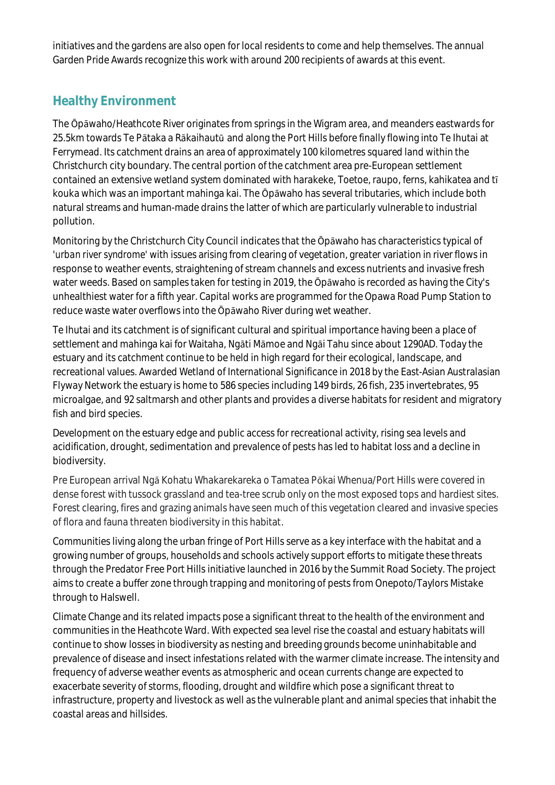initiatives and the gardens are also open for local residents to come and help themselves. The annual Garden Pride Awards recognize this work with around 200 recipients of awards at this event.

### **Healthy Environment**

The Ōpāwaho/Heathcote River originates from springs in the Wigram area, and meanders eastwards for 25.5km towards Te Pātaka a Rākaihautū and along the Port Hills before finally flowing into Te Ihutai at Ferrymead. Its catchment drains an area of approximately 100 kilometres squared land within the Christchurch city boundary. The central portion of the catchment area pre-European settlement contained an extensive wetland system dominated with harakeke, Toetoe, raupo, ferns, kahikatea and tī kouka which was an important mahinga kai. The Ōpāwaho has several tributaries, which include both natural streams and human-made drains the latter of which are particularly vulnerable to industrial pollution.

Monitoring by the Christchurch City Council indicates that the Ōpāwaho has characteristics typical of '*urban river syndrome'* with issues arising from clearing of vegetation, greater variation in river flows in response to weather events, straightening of stream channels and excess nutrients and invasive fresh water weeds. Based on samples taken for testing in 2019, the Ōpāwaho is recorded as having the City's unhealthiest water for a fifth year. Capital works are programmed for the Opawa Road Pump Station to reduce waste water overflows into the Ōpāwaho River during wet weather.

Te Ihutai and its catchment is of significant cultural and spiritual importance having been a place of settlement and mahinga kai for Waitaha, Ngāti Māmoe and Ngāi Tahu since about 1290AD. Today the estuary and its catchment continue to be held in high regard for their ecological, landscape, and recreational values. Awarded Wetland of International Significance in 2018 by the East-Asian Australasian Flyway Network the estuary is home to 586 species including 149 birds, 26 fish, 235 invertebrates, 95 microalgae, and 92 saltmarsh and other plants and provides a diverse habitats for resident and migratory fish and bird species.

Development on the estuary edge and public access for recreational activity, rising sea levels and acidification, drought, sedimentation and prevalence of pests has led to habitat loss and a decline in biodiversity.

Pre European arrival Ngā Kohatu Whakarekareka o Tamatea Pōkai Whenua/Port Hills were covered in dense forest with tussock grassland and tea-tree scrub only on the most exposed tops and hardiest sites. Forest clearing, fires and grazing animals have seen much of this vegetation cleared and invasive species of flora and fauna threaten biodiversity in this habitat.

Communities living along the urban fringe of Port Hills serve as a key interface with the habitat and a growing number of groups, households and schools actively support efforts to mitigate these threats through the Predator Free Port Hills initiative launched in 2016 by the Summit Road Society. The project aims to create a buffer zone through trapping and monitoring of pests from Onepoto/Taylors Mistake through to Halswell.

Climate Change and its related impacts pose a significant threat to the health of the environment and communities in the Heathcote Ward. With expected sea level rise the coastal and estuary habitats will continue to show losses in biodiversity as nesting and breeding grounds become uninhabitable and prevalence of disease and insect infestations related with the warmer climate increase. The intensity and frequency of adverse weather events as atmospheric and ocean currents change are expected to exacerbate severity of storms, flooding, drought and wildfire which pose a significant threat to infrastructure, property and livestock as well as the vulnerable plant and animal species that inhabit the coastal areas and hillsides.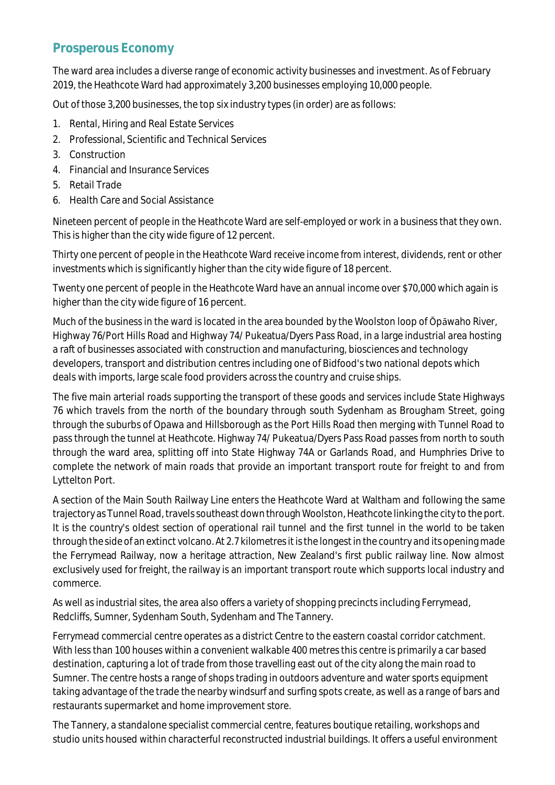### **Prosperous Economy**

The ward area includes a diverse range of economic activity businesses and investment. As of February 2019, the Heathcote Ward had approximately 3,200 businesses employing 10,000 people.

Out of those 3,200 businesses, the top six industry types (in order) are as follows:

- 1. Rental, Hiring and Real Estate Services
- 2. Professional, Scientific and Technical Services
- 3. Construction
- 4. Financial and Insurance Services
- 5. Retail Trade
- 6. Health Care and Social Assistance

Nineteen percent of people in the Heathcote Ward are self-employed or work in a business that they own. This is higher than the city wide figure of 12 percent.

Thirty one percent of people in the Heathcote Ward receive income from interest, dividends, rent or other investments which is significantly higher than the city wide figure of 18 percent.

Twenty one percent of people in the Heathcote Ward have an annual income over \$70,000 which again is higher than the city wide figure of 16 percent.

Much of the business in the ward is located in the area bounded by the Woolston loop of Ōpāwaho River, Highway 76/Port Hills Road and Highway 74/ Pukeatua/Dyers Pass Road, in a large industrial area hosting a raft of businesses associated with construction and manufacturing, biosciences and technology developers, transport and distribution centres including one of Bidfood's two national depots which deals with imports, large scale food providers across the country and cruise ships.

The five main arterial roads supporting the transport of these goods and services include State Highways 76 which travels from the north of the boundary through south Sydenham as Brougham Street, going through the suburbs of Opawa and Hillsborough as the Port Hills Road then merging with Tunnel Road to pass through the tunnel at Heathcote. Highway 74/ Pukeatua/Dyers Pass Road passes from north to south through the ward area, splitting off into State Highway 74A or Garlands Road, and Humphries Drive to complete the network of main roads that provide an important transport route for freight to and from Lyttelton Port.

A section of the Main South Railway Line enters the Heathcote Ward at Waltham and following the same trajectory as Tunnel Road, travels southeast down through Woolston, Heathcote linking the city to the port. It is the country's oldest section of operational rail tunnel and the first tunnel in the world to be taken through the side of an extinct volcano. At 2.7 kilometres it is the longest in the country and its opening made the Ferrymead Railway, now a heritage attraction, New Zealand's first public railway line. Now almost exclusively used for freight, the railway is an important transport route which supports local industry and commerce.

As well as industrial sites, the area also offers a variety of shopping precincts including Ferrymead, Redcliffs, Sumner, Sydenham South, Sydenham and The Tannery.

Ferrymead commercial centre operates as a district Centre to the eastern coastal corridor catchment. With less than 100 houses within a convenient walkable 400 metres this centre is primarily a car based destination, capturing a lot of trade from those travelling east out of the city along the main road to Sumner. The centre hosts a range of shops trading in outdoors adventure and water sports equipment taking advantage of the trade the nearby windsurf and surfing spots create, as well as a range of bars and restaurants supermarket and home improvement store.

The Tannery, a standalone specialist commercial centre, features boutique retailing, workshops and studio units housed within characterful reconstructed industrial buildings. It offers a useful environment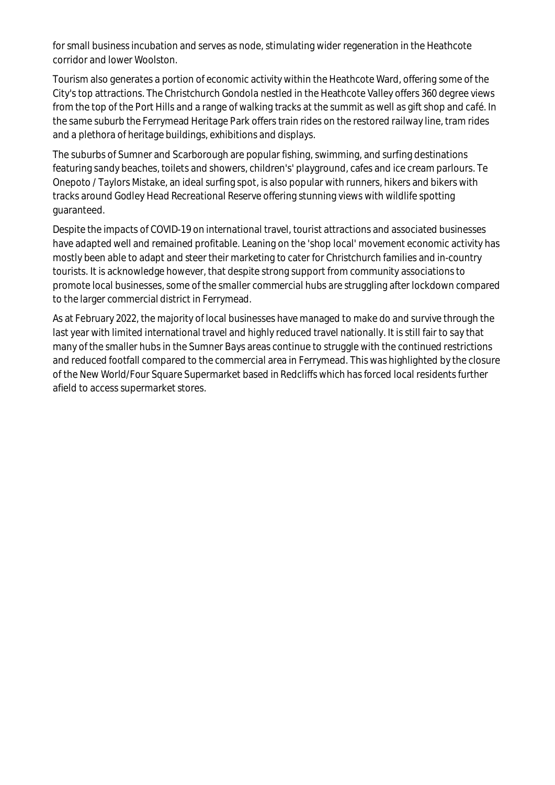for small business incubation and serves as node, stimulating wider regeneration in the Heathcote corridor and lower Woolston.

Tourism also generates a portion of economic activity within the Heathcote Ward, offering some of the City's top attractions. The Christchurch Gondola nestled in the Heathcote Valley offers 360 degree views from the top of the Port Hills and a range of walking tracks at the summit as well as gift shop and café. In the same suburb the Ferrymead Heritage Park offers train rides on the restored railway line, tram rides and a plethora of heritage buildings, exhibitions and displays.

The suburbs of Sumner and Scarborough are popular fishing, swimming, and surfing destinations featuring sandy beaches, toilets and showers, children's' playground, cafes and ice cream parlours. Te Onepoto / Taylors Mistake, an ideal surfing spot, is also popular with runners, hikers and bikers with tracks around Godley Head Recreational Reserve offering stunning views with wildlife spotting guaranteed.

Despite the impacts of COVID-19 on international travel, tourist attractions and associated businesses have adapted well and remained profitable. Leaning on the 'shop local' movement economic activity has mostly been able to adapt and steer their marketing to cater for Christchurch families and in-country tourists. It is acknowledge however, that despite strong support from community associations to promote local businesses, some of the smaller commercial hubs are struggling after lockdown compared to the larger commercial district in Ferrymead.

As at February 2022, the majority of local businesses have managed to make do and survive through the last year with limited international travel and highly reduced travel nationally. It is still fair to say that many of the smaller hubs in the Sumner Bays areas continue to struggle with the continued restrictions and reduced footfall compared to the commercial area in Ferrymead. This was highlighted by the closure of the New World/Four Square Supermarket based in Redcliffs which has forced local residents further afield to access supermarket stores.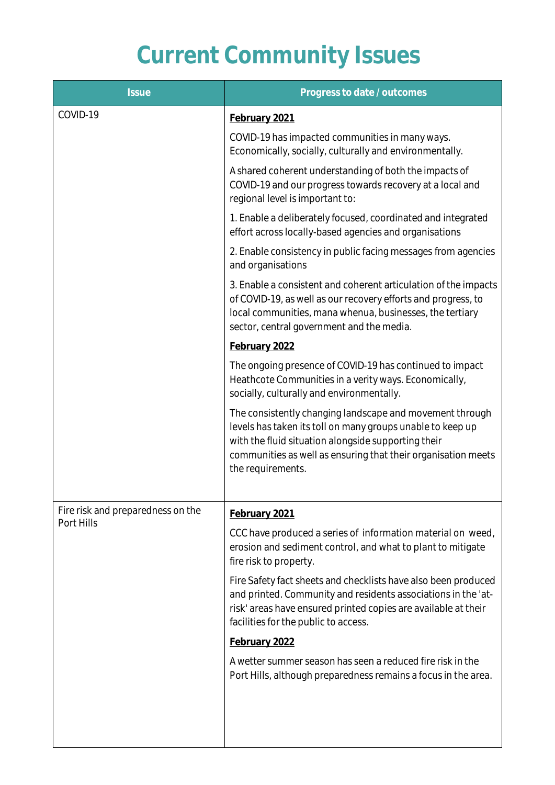# **Current Community Issues**

| <b>Issue</b>                                    | Progress to date / outcomes                                                                                                                                                                                                                                         |
|-------------------------------------------------|---------------------------------------------------------------------------------------------------------------------------------------------------------------------------------------------------------------------------------------------------------------------|
| COVID-19                                        | February 2021                                                                                                                                                                                                                                                       |
|                                                 | COVID-19 has impacted communities in many ways.<br>Economically, socially, culturally and environmentally.                                                                                                                                                          |
|                                                 | A shared coherent understanding of both the impacts of<br>COVID-19 and our progress towards recovery at a local and<br>regional level is important to:                                                                                                              |
|                                                 | 1. Enable a deliberately focused, coordinated and integrated<br>effort across locally-based agencies and organisations                                                                                                                                              |
|                                                 | 2. Enable consistency in public facing messages from agencies<br>and organisations                                                                                                                                                                                  |
|                                                 | 3. Enable a consistent and coherent articulation of the impacts<br>of COVID-19, as well as our recovery efforts and progress, to<br>local communities, mana whenua, businesses, the tertiary<br>sector, central government and the media.                           |
|                                                 | February 2022                                                                                                                                                                                                                                                       |
|                                                 | The ongoing presence of COVID-19 has continued to impact<br>Heathcote Communities in a verity ways. Economically,<br>socially, culturally and environmentally.                                                                                                      |
|                                                 | The consistently changing landscape and movement through<br>levels has taken its toll on many groups unable to keep up<br>with the fluid situation alongside supporting their<br>communities as well as ensuring that their organisation meets<br>the requirements. |
| Fire risk and preparedness on the<br>Port Hills | February 2021                                                                                                                                                                                                                                                       |
|                                                 | CCC have produced a series of information material on weed,<br>erosion and sediment control, and what to plant to mitigate<br>fire risk to property.                                                                                                                |
|                                                 | Fire Safety fact sheets and checklists have also been produced<br>and printed. Community and residents associations in the 'at-<br>risk' areas have ensured printed copies are available at their<br>facilities for the public to access.                           |
|                                                 | February 2022                                                                                                                                                                                                                                                       |
|                                                 | A wetter summer season has seen a reduced fire risk in the<br>Port Hills, although preparedness remains a focus in the area.                                                                                                                                        |
|                                                 |                                                                                                                                                                                                                                                                     |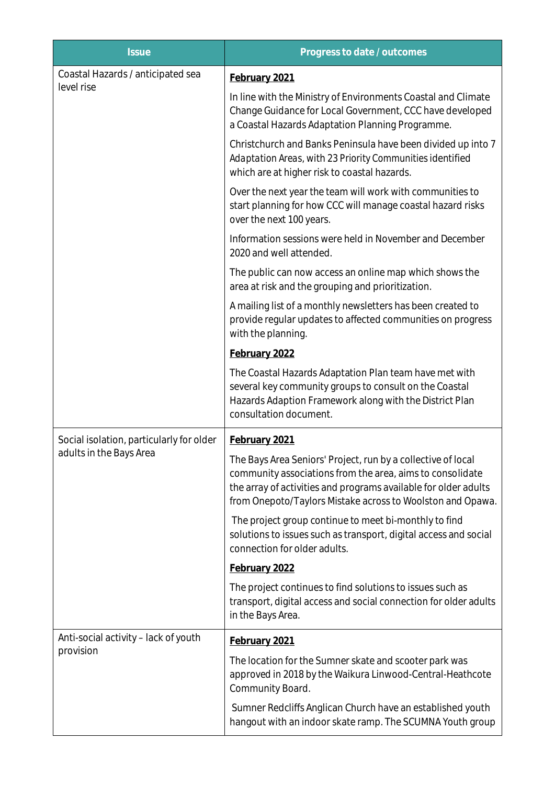| <b>Issue</b>                                                        | Progress to date / outcomes                                                                                                                                                                                                                                |
|---------------------------------------------------------------------|------------------------------------------------------------------------------------------------------------------------------------------------------------------------------------------------------------------------------------------------------------|
| Coastal Hazards / anticipated sea<br>level rise                     | February 2021                                                                                                                                                                                                                                              |
|                                                                     | In line with the Ministry of Environments Coastal and Climate<br>Change Guidance for Local Government, CCC have developed<br>a Coastal Hazards Adaptation Planning Programme.                                                                              |
|                                                                     | Christchurch and Banks Peninsula have been divided up into 7<br>Adaptation Areas, with 23 Priority Communities identified<br>which are at higher risk to coastal hazards.                                                                                  |
|                                                                     | Over the next year the team will work with communities to<br>start planning for how CCC will manage coastal hazard risks<br>over the next 100 years.                                                                                                       |
|                                                                     | Information sessions were held in November and December<br>2020 and well attended.                                                                                                                                                                         |
|                                                                     | The public can now access an online map which shows the<br>area at risk and the grouping and prioritization.                                                                                                                                               |
|                                                                     | A mailing list of a monthly newsletters has been created to<br>provide regular updates to affected communities on progress<br>with the planning.                                                                                                           |
|                                                                     | February 2022                                                                                                                                                                                                                                              |
|                                                                     | The Coastal Hazards Adaptation Plan team have met with<br>several key community groups to consult on the Coastal<br>Hazards Adaption Framework along with the District Plan<br>consultation document.                                                      |
| Social isolation, particularly for older<br>adults in the Bays Area | February 2021                                                                                                                                                                                                                                              |
|                                                                     | The Bays Area Seniors' Project, run by a collective of local<br>community associations from the area, aims to consolidate<br>the array of activities and programs available for older adults<br>from Onepoto/Taylors Mistake across to Woolston and Opawa. |
|                                                                     | The project group continue to meet bi-monthly to find<br>solutions to issues such as transport, digital access and social<br>connection for older adults.                                                                                                  |
|                                                                     | February 2022                                                                                                                                                                                                                                              |
|                                                                     | The project continues to find solutions to issues such as<br>transport, digital access and social connection for older adults<br>in the Bays Area.                                                                                                         |
| Anti-social activity - lack of youth<br>provision                   | February 2021                                                                                                                                                                                                                                              |
|                                                                     | The location for the Sumner skate and scooter park was<br>approved in 2018 by the Waikura Linwood-Central-Heathcote<br>Community Board.                                                                                                                    |
|                                                                     | Sumner Redcliffs Anglican Church have an established youth<br>hangout with an indoor skate ramp. The SCUMNA Youth group                                                                                                                                    |